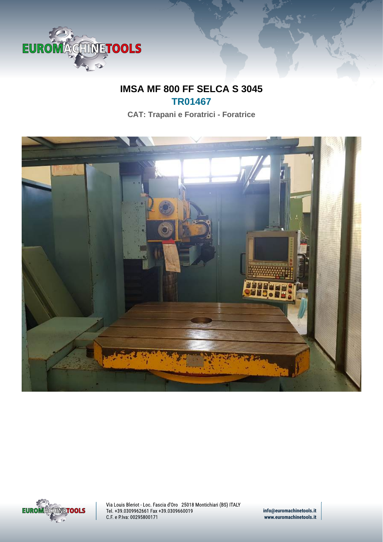

## **IMSA MF 800 FF SELCA S 3045 TR01467**

**CAT: Trapani e Foratrici - Foratrice**





Via Louis Bleriot - Loc. Fascia d'Oro 25018 Montichiari (BS) ITALY Tel. +39.0309962661 Fax +39.0309660019 C.F. e P.Iva: 00295800171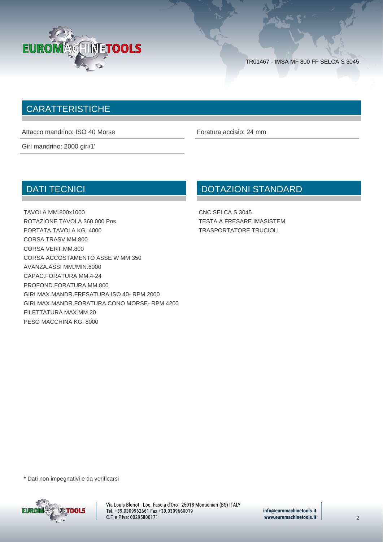

## **CARATTERISTICHE**

Attacco mandrino: ISO 40 Morse **Foratura** acciaio: 24 mm

Giri mandrino: 2000 giri/1'

## DATI TECNICI

TAVOLA MM.800x1000 ROTAZIONE TAVOLA 360.000 Pos. PORTATA TAVOLA KG. 4000 CORSA TRASV.MM.800 CORSA VERT.MM.800 CORSA ACCOSTAMENTO ASSE W MM.350 AVANZA.ASSI MM./MIN.6000 CAPAC.FORATURA MM.4-24 PROFOND.FORATURA MM.800 GIRI MAX.MANDR.FRESATURA ISO 40- RPM 2000 GIRI MAX.MANDR.FORATURA CONO MORSE- RPM 4200 FILETTATURA MAX.MM.20 PESO MACCHINA KG. 8000

## DOTAZIONI STANDARD

CNC SELCA S 3045 TESTA A FRESARE IMASISTEM TRASPORTATORE TRUCIOLI

\* Dati non impegnativi e da verificarsi



Via Louis Bleriot - Loc. Fascia d'Oro 25018 Montichiari (BS) ITALY Tel. +39.0309962661 Fax +39.0309660019 C.F. e P.Iva: 00295800171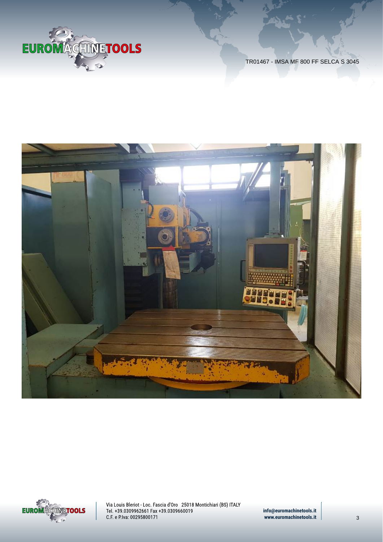





Via Louis Bleriot - Loc. Fascia d'Oro 25018 Montichiari (BS) ITALY Tel. +39.0309962661 Fax +39.0309660019 C.F. e P.Iva: 00295800171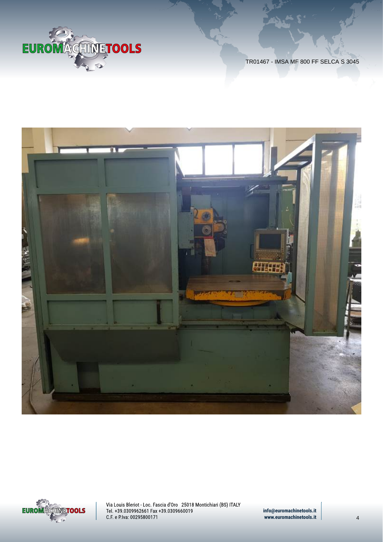





Via Louis Bleriot - Loc. Fascia d'Oro 25018 Montichiari (BS) ITALY Tel. +39.0309962661 Fax +39.0309660019 C.F. e P.Iva: 00295800171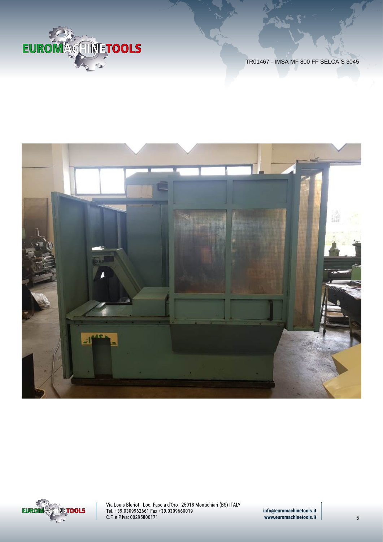





Via Louis Bleriot - Loc. Fascia d'Oro 25018 Montichiari (BS) ITALY Tel. +39.0309962661 Fax +39.0309660019 C.F. e P.Iva: 00295800171